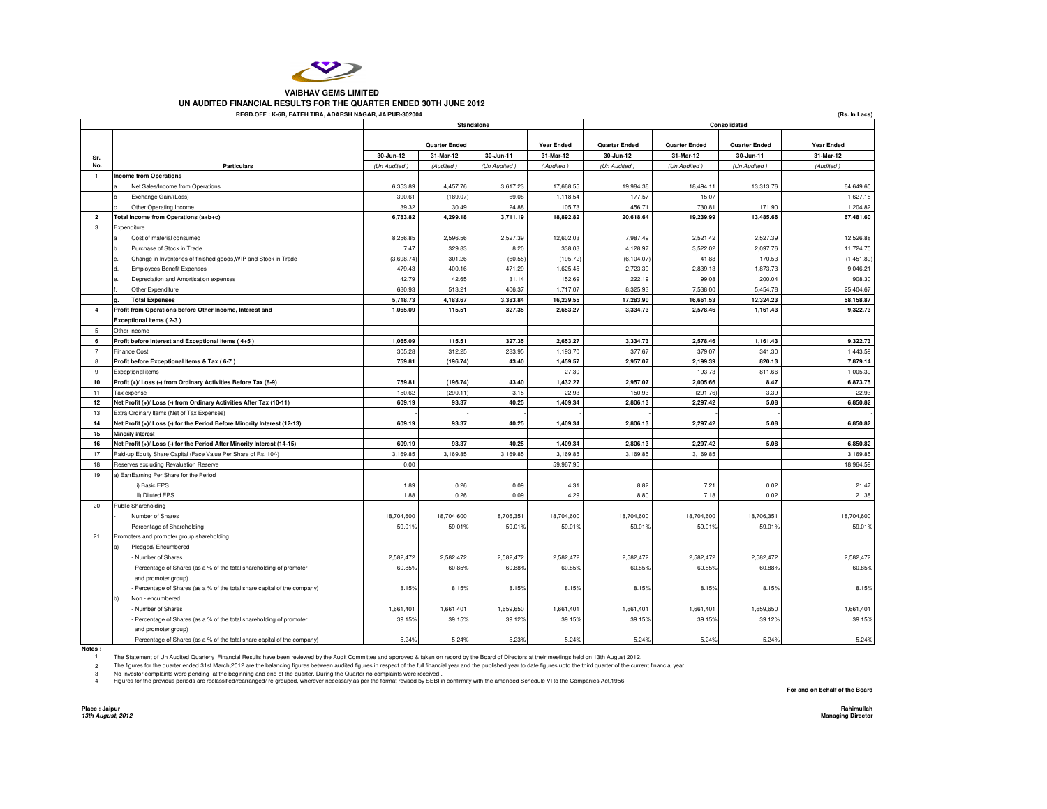

## **VAIBHAV GEMS LIMITEDUN AUDITED FINANCIAL RESULTS FOR THE QUARTER ENDED 30TH JUNE 2012**

| REGD.OFF: K-6B, FATEH TIBA, ADARSH NAGAR, JAIPUR-302004<br>(Rs. In Lacs) |                                                                                                      |                           |                                   |                           |                                |                          |                                   |                           |                                |  |  |
|--------------------------------------------------------------------------|------------------------------------------------------------------------------------------------------|---------------------------|-----------------------------------|---------------------------|--------------------------------|--------------------------|-----------------------------------|---------------------------|--------------------------------|--|--|
|                                                                          |                                                                                                      | Standalone                |                                   |                           |                                | Consolidated             |                                   |                           |                                |  |  |
|                                                                          |                                                                                                      |                           |                                   |                           |                                |                          |                                   |                           |                                |  |  |
|                                                                          |                                                                                                      |                           | <b>Quarter Ended</b><br>31-Mar-12 |                           | <b>Year Ended</b><br>31-Mar-12 | <b>Quarter Ended</b>     | <b>Quarter Ended</b><br>31-Mar-12 | <b>Quarter Ended</b>      | <b>Year Ended</b><br>31-Mar-12 |  |  |
| Sr.<br>No.                                                               | <b>Particulars</b>                                                                                   | 30-Jun-12<br>(Un Audited) | (Audited)                         | 30-Jun-11<br>(Un Audited) | (Audited)                      | 30-Jun-12<br>(Un Audited | (Un Audited                       | 30-Jun-11<br>(Un Audited) | (Audited)                      |  |  |
| $\overline{1}$                                                           | <b>Income from Operations</b>                                                                        |                           |                                   |                           |                                |                          |                                   |                           |                                |  |  |
|                                                                          | Net Sales/Income from Operations                                                                     | 6,353.89                  | 4,457.76                          | 3,617.23                  | 17,668.55                      | 19,984.36                | 18,494.11                         | 13,313.76                 | 64,649.60                      |  |  |
|                                                                          | Exchange Gain/(Loss)                                                                                 | 390.61                    | (189.07                           | 69.08                     | 1,118.54                       | 177.57                   | 15.07                             |                           | 1,627.18                       |  |  |
|                                                                          | Other Operating Income                                                                               | 39.32                     | 30.49                             | 24.88                     | 105.73                         | 456.71                   | 730.81                            | 171.90                    | 1,204.82                       |  |  |
| $\overline{\mathbf{2}}$                                                  | Total Income from Operations (a+b+c)                                                                 | 6,783.82                  | 4,299.18                          | 3,711.19                  | 18,892.82                      | 20,618.64                | 19,239.99                         | 13,485.66                 | 67,481.60                      |  |  |
| 3                                                                        | Expenditure                                                                                          |                           |                                   |                           |                                |                          |                                   |                           |                                |  |  |
|                                                                          | Cost of material consumed                                                                            | 8,256.85                  | 2,596.56                          | 2,527.39                  | 12,602.03                      | 7,987.49                 | 2,521.42                          | 2,527.39                  | 12,526.88                      |  |  |
|                                                                          | Purchase of Stock in Trade                                                                           | 7.47                      | 329.83                            | 8.20                      | 338.03                         | 4,128.97                 | 3.522.02                          | 2,097.76                  | 11,724.70                      |  |  |
|                                                                          | Change in Inventories of finished goods, WIP and Stock in Trade                                      | (3,698.74)                | 301.26                            | (60.55)                   | (195.72)                       | (6, 104.07)              | 41.88                             | 170.53                    | (1,451.89)                     |  |  |
|                                                                          | <b>Employees Benefit Expenses</b>                                                                    | 479.43                    | 400.16                            | 471.29                    | 1,625.45                       | 2,723.39                 | 2,839.13                          | 1,873.73                  | 9,046.21                       |  |  |
|                                                                          | Depreciation and Amortisation expenses<br>ė.                                                         | 42.79                     | 42.65                             | 31.14                     | 152.69                         | 222.19                   | 199.08                            | 200.04                    | 908.30                         |  |  |
|                                                                          | Other Expenditure                                                                                    | 630.93                    | 513.21                            | 406.37                    | 1,717.07                       | 8,325.93                 | 7,538.00                          | 5,454.78                  | 25,404.67                      |  |  |
|                                                                          | <b>Total Expenses</b>                                                                                | 5,718.73                  | 4,183.67                          | 3,383.84                  | 16,239.55                      | 17,283.90                | 16,661.53                         | 12,324.23                 | 58,158.87                      |  |  |
| $\overline{4}$                                                           | Profit from Operations before Other Income, Interest and                                             | 1,065.09                  | 115.51                            | 327.35                    | 2,653.27                       | 3,334.73                 | 2,578.46                          | 1,161.43                  | 9,322.73                       |  |  |
|                                                                          | Exceptional Items (2-3)                                                                              |                           |                                   |                           |                                |                          |                                   |                           |                                |  |  |
| -5                                                                       | Other Income                                                                                         |                           |                                   |                           |                                |                          |                                   |                           |                                |  |  |
| 6                                                                        | Profit before Interest and Exceptional Items (4+5)                                                   | 1,065.09                  | 115.51                            | 327.35                    | 2.653.27                       | 3.334.73                 | 2,578.46                          | 1,161.43                  | 9.322.73                       |  |  |
| $\overline{7}$                                                           | <b>Finance Cost</b>                                                                                  | 305.28                    | 312.25                            | 283.95                    | 1,193.70                       | 377.67                   | 379.07                            | 341.30                    | 1,443.59                       |  |  |
| 8                                                                        | Profit before Exceptional Items & Tax (6-7)                                                          | 759.81                    | (196.74)                          | 43.40                     | 1,459.57                       | 2,957.07                 | 2,199.39                          | 820.13                    | 7,879.14                       |  |  |
|                                                                          |                                                                                                      |                           |                                   |                           | 27.30                          |                          | 193.73                            | 811.66                    | 1,005.39                       |  |  |
| 9<br>10                                                                  | Exceptional items<br>Profit (+)/ Loss (-) from Ordinary Activities Before Tax (8-9)                  | 759.81                    | (196.74)                          | 43.40                     | 1.432.27                       | 2.957.07                 | 2.005.66                          | 8.47                      | 6,873.75                       |  |  |
| 11                                                                       |                                                                                                      | 150.62                    | (290.1)                           | 3.15                      | 22.93                          | 150.93                   | (291.76)                          | 3.39                      | 22.93                          |  |  |
|                                                                          | Tax expense                                                                                          |                           | 93.37                             | 40.25                     |                                |                          |                                   | 5.08                      | 6.850.82                       |  |  |
| 12                                                                       | Net Profit (+)/ Loss (-) from Ordinary Activities After Tax (10-11)                                  | 609.19                    |                                   |                           | 1.409.34                       | 2.806.13                 | 2.297.42                          |                           |                                |  |  |
| 13                                                                       | Extra Ordinary Items (Net of Tax Expenses)                                                           |                           |                                   |                           |                                |                          |                                   |                           |                                |  |  |
| 14<br>15                                                                 | Net Profit (+)/ Loss (-) for the Period Before Minority Interest (12-13)<br><b>Minority Interest</b> | 609.19                    | 93.37                             | 40.25                     | 1,409.34                       | 2,806.13                 | 2.297.42                          | 5.08                      | 6,850.82                       |  |  |
|                                                                          |                                                                                                      |                           | 93.37                             | 40.25                     |                                |                          |                                   |                           |                                |  |  |
| 16                                                                       | Net Profit (+)/ Loss (-) for the Period After Minority Interest (14-15)                              | 609.19                    |                                   |                           | 1,409.34                       | 2,806.13                 | 2,297.42                          | 5.08                      | 6,850.82                       |  |  |
| 17                                                                       | Paid-up Equity Share Capital (Face Value Per Share of Rs. 10/-)                                      | 3,169.85                  | 3,169.85                          | 3,169.85                  | 3,169.85                       | 3,169.85                 | 3,169.85                          |                           | 3,169.85                       |  |  |
| 18                                                                       | Reserves excluding Revaluation Reserve                                                               | 0.00                      |                                   |                           | 59,967.95                      |                          |                                   |                           | 18,964.59                      |  |  |
| 19                                                                       | a) Earl Earning Per Share for the Period                                                             |                           |                                   |                           |                                |                          |                                   |                           |                                |  |  |
|                                                                          | i) Basic EPS                                                                                         | 1.89                      | 0.26                              | 0.09                      | 4.31                           | 8.82                     | 7.21                              | 0.02                      | 21.47                          |  |  |
|                                                                          | II) Diluted EPS                                                                                      | 1.88                      | 0.26                              | 0.09                      | 4.29                           | 8.80                     | 7.18                              | 0.02                      | 21.38                          |  |  |
| 20                                                                       | Public Shareholding                                                                                  |                           |                                   |                           |                                |                          |                                   |                           |                                |  |  |
|                                                                          | Number of Shares                                                                                     | 18,704,600                | 18,704,600                        | 18,706.351                | 18,704.600                     | 18,704,600               | 18,704,600                        | 18,706,351                | 18,704,600                     |  |  |
|                                                                          | Percentage of Shareholding                                                                           | 59.019                    | 59.01                             | 59.01%                    | 59.01%                         | 59.019                   | 59.01%                            | 59.01%                    | 59.01%                         |  |  |
| 21                                                                       | Promoters and promoter group shareholding                                                            |                           |                                   |                           |                                |                          |                                   |                           |                                |  |  |
|                                                                          | Pledged/Encumbered<br>a)                                                                             |                           |                                   |                           |                                |                          |                                   |                           |                                |  |  |
|                                                                          | - Number of Shares                                                                                   | 2,582,472                 | 2,582,472                         | 2,582,472                 | 2,582,472                      | 2,582,472                | 2,582,472                         | 2,582,472                 | 2,582,472                      |  |  |
|                                                                          | - Percentage of Shares (as a % of the total shareholding of promoter                                 | 60.85%                    | 60.85%                            | 60.88%                    | 60.85%                         | 60.85%                   | 60.85%                            | 60.88%                    | 60.85%                         |  |  |
|                                                                          | and promoter group)                                                                                  |                           |                                   |                           |                                |                          |                                   |                           |                                |  |  |
|                                                                          | - Percentage of Shares (as a % of the total share capital of the company)                            | 8.15%                     | 8.15%                             | 8.15%                     | 8.15%                          | 8.15%                    | 8.15%                             | 8.15%                     | 8.15%                          |  |  |
|                                                                          | Non - encumbered                                                                                     |                           |                                   |                           |                                |                          |                                   |                           |                                |  |  |
|                                                                          | - Number of Shares                                                                                   | 1,661,401                 | 1,661,401                         | 1,659,650                 | 1,661,401                      | 1,661,401                | 1,661,401                         | 1,659,650                 | 1,661,401                      |  |  |
|                                                                          | - Percentage of Shares (as a % of the total shareholding of promoter                                 | 39.15%                    | 39.15%                            | 39.12%                    | 39.15%                         | 39.15%                   | 39.15%                            | 39.12%                    | 39.15%                         |  |  |
|                                                                          | and promoter group)                                                                                  |                           |                                   |                           |                                |                          |                                   |                           |                                |  |  |
|                                                                          | Percentage of Shares (as a % of the total share capital of the company)                              | 5.24%                     | 5.24%                             | 5.23%                     | 5.24%                          | 5.24%                    | 5.24%                             | 5.24%                     | 5.24%                          |  |  |

**Notes :**

1

 2 3The Statement of Un Audited Quarterly Financial Results have been reviewed by the Audit Committee and approved & taken on record by the Board of Directors at their meetings held on 13th August 2012.<br>The figures for the qua

3 No Investor complaints were pending at the beginning and end of the quarter. During the Quarter no complaints were received .<br>4 Figures for the previous periods are reclassified/rearranged/ re-grouped, wherever necessary 4

**For and on behalf of the Board**

**Place : Jaipur13th August, 2012**

 **RahimullahManaging Director Managing Director**